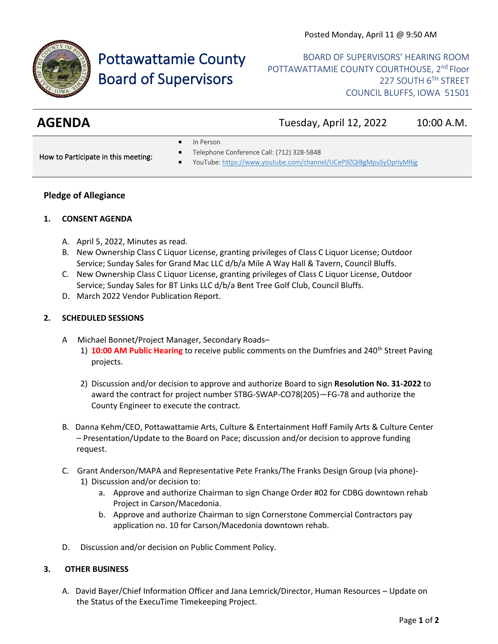

# Pottawattamie County Board of Supervisors

BOARD OF SUPERVISORS' HEARING ROOM POTTAWATTAMIE COUNTY COURTHOUSE, 2<sup>nd</sup> Floor 227 SOUTH 6TH STREET COUNCIL BLUFFS, IOWA 51501

**AGENDA** Tuesday, April 12, 2022 10:00 A.M.

• In Person

How to Participate in this meeting:

- Telephone Conference Call: (712) 328-5848
- YouTube[: https://www.youtube.com/channel/UCeP9ZQIBgMpuSyOprlyMl6g](https://www.youtube.com/channel/UCeP9ZQIBgMpuSyOprlyMl6g)

### **Pledge of Allegiance**

#### **1. CONSENT AGENDA**

- A. April 5, 2022, Minutes as read.
- B. New Ownership Class C Liquor License, granting privileges of Class C Liquor License; Outdoor Service; Sunday Sales for Grand Mac LLC d/b/a Mile A Way Hall & Tavern, Council Bluffs.
- C. New Ownership Class C Liquor License, granting privileges of Class C Liquor License, Outdoor Service; Sunday Sales for BT Links LLC d/b/a Bent Tree Golf Club, Council Bluffs.
- D. March 2022 Vendor Publication Report.

#### **2. SCHEDULED SESSIONS**

- A Michael Bonnet/Project Manager, Secondary Roads–
	- 1) **10:00 AM Public Hearing** to receive public comments on the Dumfries and 240<sup>th</sup> Street Paving projects.
	- 2) Discussion and/or decision to approve and authorize Board to sign **Resolution No. 31-2022** to award the contract for project number STBG-SWAP-CO78(205)—FG-78 and authorize the County Engineer to execute the contract.
- B. Danna Kehm/CEO, Pottawattamie Arts, Culture & Entertainment Hoff Family Arts & Culture Center – Presentation/Update to the Board on Pace; discussion and/or decision to approve funding request.
- C. Grant Anderson/MAPA and Representative Pete Franks/The Franks Design Group (via phone)- 1) Discussion and/or decision to:
	- a. Approve and authorize Chairman to sign Change Order #02 for CDBG downtown rehab Project in Carson/Macedonia.
	- b. Approve and authorize Chairman to sign Cornerstone Commercial Contractors pay application no. 10 for Carson/Macedonia downtown rehab.
- D. Discussion and/or decision on Public Comment Policy.

## **3. OTHER BUSINESS**

A. David Bayer/Chief Information Officer and Jana Lemrick/Director, Human Resources – Update on the Status of the ExecuTime Timekeeping Project.